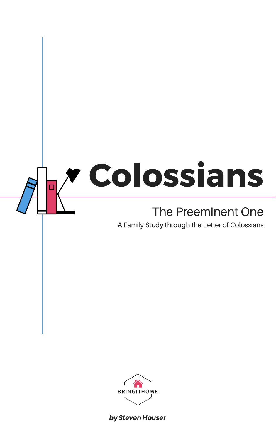# Colossians  $\Box$

## The Preeminent One

by Steven Houser

A Family Study through the Letter of Colossians

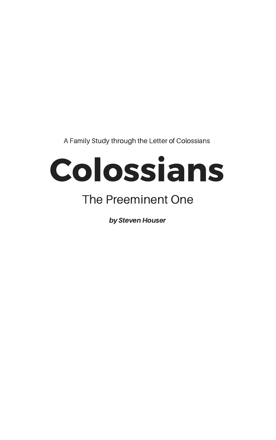# Colossians The Preeminent One

by Steven Houser

A Family Study through the Letter of Colossians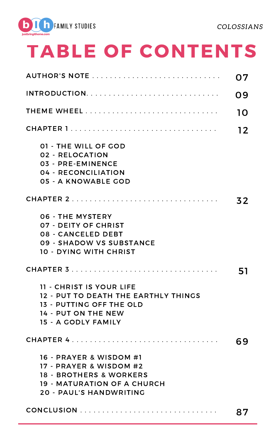

# TABLE OF CONTENTS

|                                                                                                                                                    | ( ) 9          |
|----------------------------------------------------------------------------------------------------------------------------------------------------|----------------|
|                                                                                                                                                    | $\blacksquare$ |
| CHAPTER 1                                                                                                                                          | 12             |
| 01 - THE WILL OF GOD<br>02 - RELOCATION<br>03 - PRE-EMINENCE<br>04 - RECONCILIATION<br>05 - A KNOWABLE GOD                                         |                |
| CHAPTER 2                                                                                                                                          | 32             |
| 06 - THE MYSTERY<br>07 - DEITY OF CHRIST<br>08 - CANCELED DEBT<br>09 - SHADOW VS SUBSTANCE<br>10 - DYING WITH CHRIST                               |                |
|                                                                                                                                                    |                |
| 11 - CHRIST IS YOUR LIFE<br>12 - PUT TO DEATH THE EARTHLY THINGS<br><b>13 - PUTTING OFF THE OLD</b><br>14 - PUT ON THE NEW<br>15 - A GODLY FAMILY  |                |
|                                                                                                                                                    |                |
| 16 - PRAYER & WISDOM #1<br>17 - PRAYER & WISDOM #2<br><b>18 - BROTHERS &amp; WORKERS</b><br>19 - MATURATION OF A CHURCH<br>20 - PAUL'S HANDWRITING |                |
|                                                                                                                                                    |                |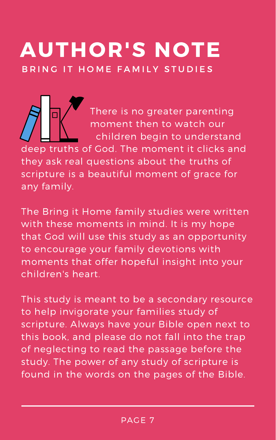# AUTHOR'S NOTE B R I N G IT HOME FAMILY STUDIES

There is no greater parenting moment then to watch our children begin to understand

deep truths of God. The moment it clicks and they ask real questions about the truths of scripture is a beautiful moment of grace for any family.

The Bring it Home family studies were written with these moments in mind. It is my hope that God will use this study as an opportunity to encourage your family devotions with moments that offer hopeful insight into your children's heart.

This study is meant to be a secondary resource to help invigorate your families study of scripture. Always have your Bible open next to this book, and please do not fall into the trap of neglecting to read the passage before the study. The power of any study of scripture is found in the words on the pages of the Bible.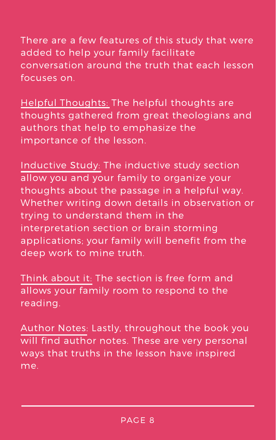There are a few features of this study that were added to help your family facilitate conversation around the truth that each lesson focuses on.

Helpful Thoughts: The helpful thoughts are thoughts gathered from great theologians and authors that help to emphasize the importance of the lesson.

Inductive Study: The inductive study section allow you and your family to organize your thoughts about the passage in a helpful way. Whether writing down details in observation or trying to understand them in the interpretation section or brain storming

applications; your family will benefit from the deep work to mine truth.

Think about it: The section is free form and allows your family room to respond to the reading.

Author Notes: Lastly, throughout the book you will find author notes. These are very personal ways that truths in the lesson have inspired me.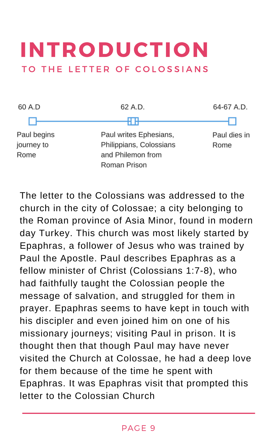## INTRODUCTION TO THE LETTER OF COLOSSIANS



The letter to the Colossians was addressed to the church in the city of Colossae; a city belonging to the Roman province of Asia Minor, found in modern day Turkey. This church was most likely started by Epaphras, a follower of Jesus who was trained by Paul the Apostle. Paul describes Epaphras as a fellow minister of Christ (Colossians 1:7-8), who had faithfully taught the Colossian people the message of salvation, and struggled for them in prayer. Epaphras seems to have kept in touch with his discipler and even joined him on one of his missionary journeys; visiting Paul in prison. It is thought then that though Paul may have never visited the Church at Colossae, he had a deep love for them because of the time he spent with Epaphras. It was Epaphras visit that prompted this letter to the Colossian Church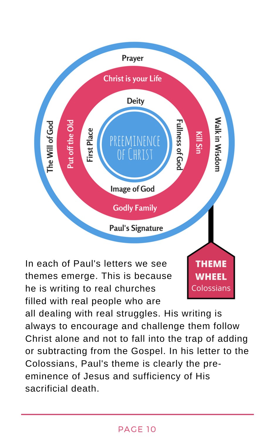

In each of Paul's letters we see themes emerge. This is because he is writing to real churches filled with real people who are

**THEME WHEEL** Colossians

all dealing with real struggles. His writing is always to encourage and challenge them follow Christ alone and not to fall into the trap of adding or subtracting from the Gospel. In his letter to the Colossians, Paul's theme is clearly the preeminence of Jesus and sufficiency of His sacrificial death.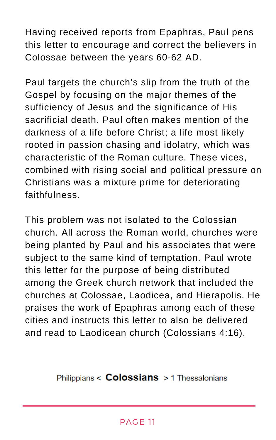Having received reports from Epaphras, Paul pens this letter to encourage and correct the believers in Colossae between the years 60-62 AD.

Paul targets the church's slip from the truth of the Gospel by focusing on the major themes of the sufficiency of Jesus and the significance of His sacrificial death. Paul often makes mention of the darkness of a life before Christ; a life most likely rooted in passion chasing and idolatry, which was characteristic of the Roman culture. These vices, combined with rising social and political pressure on Christians was a mixture prime for deteriorating faithfulness.

This problem was not isolated to the Colossian church. All across the Roman world, churches were being planted by Paul and his associates that were subject to the same kind of temptation. Paul wrote this letter for the purpose of being distributed among the Greek church network that included the churches at Colossae, Laodicea, and Hierapolis. He praises the work of Epaphras among each of these cities and instructs this letter to also be delivered and read to Laodicean church (Colossians 4:16).

Philippians  $\leq$  Colossians  $>$  1 Thessalonians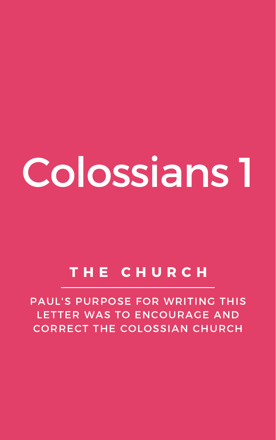# Colossians 1

## T H E C H U R C H

PAUL'S PURPOSE FOR WRITING THIS LETTER WAS TO ENCOURAGE AND CORRECT THE COLOSSIAN CHURCH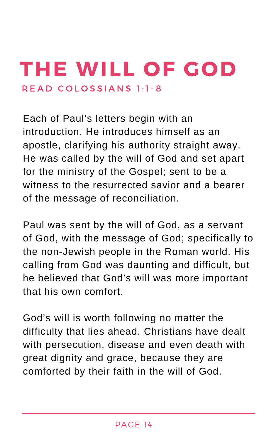# THE WILL OF GOD R E A D COLOSSIANS 1:1-8

Each of Paul's letters begin with an introduction. He introduces himself as an apostle, clarifying his authority straight away. He was called by the will of God and set apart for the ministry of the Gospel; sent to be a witness to the resurrected savior and a bearer of the message of reconciliation.

Paul was sent by the will of God, as a servant of God, with the message of God; specifically to the non-Jewish people in the Roman world. His calling from God was daunting and difficult, but he believed that God's will was more important that his own comfort.

God's will is worth following no matter the difficulty that lies ahead. Christians have dealt with persecution, disease and even death with great dignity and grace, because they are comforted by their faith in the will of God.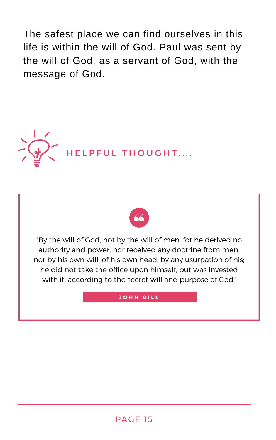#### PAGE 15





"By the will of God; not by the will of men, for he derived no authority and power, nor received any doctrine from men; nor by his own will, of his own head, by any usurpation of his; he did not take the office upon himself, but was invested with it, according to the secret will and purpose of God"

#### **JOHN GILL**

The safest place we can find ourselves in this life is within the will of God. Paul was sent by the will of God, as a servant of God, with the message of God.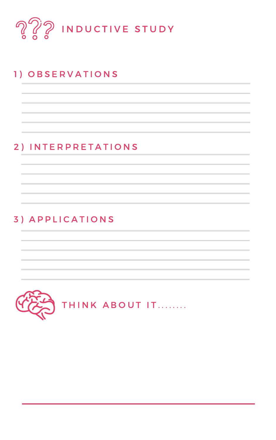



#### 1 ) O B S E R V A T I O N S

## 2 ) I N T E R P R E T A T I O N S

## 3) A P P L I C A T I O N S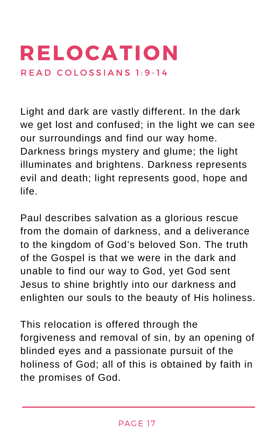# RELOCATION R E A D COLOSSIANS 1:9-14

Light and dark are vastly different. In the dark we get lost and confused; in the light we can see our surroundings and find our way home. Darkness brings mystery and glume; the light illuminates and brightens. Darkness represents evil and death; light represents good, hope and life.

Paul describes salvation as a glorious rescue from the domain of darkness, and a deliverance

to the kingdom of God's beloved Son. The truth of the Gospel is that we were in the dark and unable to find our way to God, yet God sent Jesus to shine brightly into our darkness and enlighten our souls to the beauty of His holiness.

This relocation is offered through the forgiveness and removal of sin, by an opening of blinded eyes and a passionate pursuit of the holiness of God; all of this is obtained by faith in the promises of God.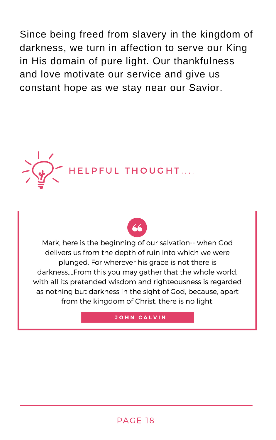Since being freed from slavery in the kingdom of darkness, we turn in affection to serve our King in His domain of pure light. Our thankfulness and love motivate our service and give us constant hope as we stay near our Savior.

#### PAGE 18







#### **JOHN CALVIN**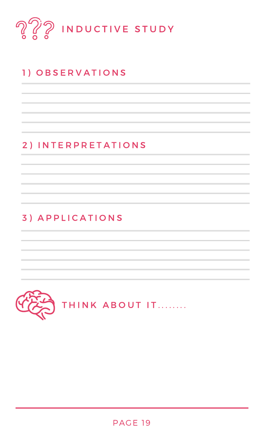

#### PALE 19 PAGE 19



## 1 ) O B S E R V A T I O N S

#### 2 ) I N T E R P R E T A T I O N S

#### 3 ) A P P L I C A T I O N S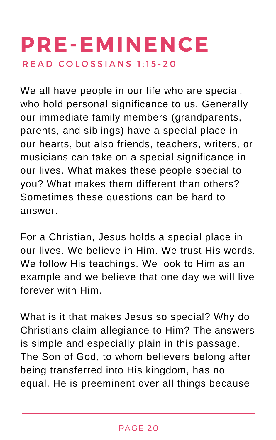We all have people in our life who are special, who hold personal significance to us. Generally our immediate family members (grandparents, parents, and siblings) have a special place in our hearts, but also friends, teachers, writers, or musicians can take on a special significance in our lives. What makes these people special to you? What makes them different than others? Sometimes these questions can be hard to answer.

## PRE-EMINENCE R E A D C O L O S S I A N S 1 : 1 5 - 2 0

For a Christian, Jesus holds a special place in our lives. We believe in Him. We trust His words. We follow His teachings. We look to Him as an example and we believe that one day we will live forever with Him.

What is it that makes Jesus so special? Why do Christians claim allegiance to Him? The answers is simple and especially plain in this passage. The Son of God, to whom believers belong after being transferred into His kingdom, has no equal. He is preeminent over all things because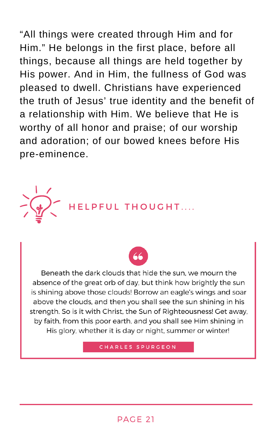"All things were created through Him and for Him." He belongs in the first place, before all things, because all things are held together by His power. And in Him, the fullness of God was pleased to dwell. Christians have experienced the truth of Jesus' true identity and the benefit of a relationship with Him. We believe that He is worthy of all honor and praise; of our worship and adoration; of our bowed knees before His pre-eminence.

#### PAGE 21





Beneath the dark clouds that hide the sun, we mourn the absence of the great orb of day, but think how brightly the sun is shining above those clouds! Borrow an eagle's wings and soar above the clouds, and then you shall see the sun shining in his strength. So is it with Christ, the Sun of Righteousness! Get away, by faith, from this poor earth, and you shall see Him shining in His glory, whether it is day or night, summer or winter!

CHARLES SPURGEON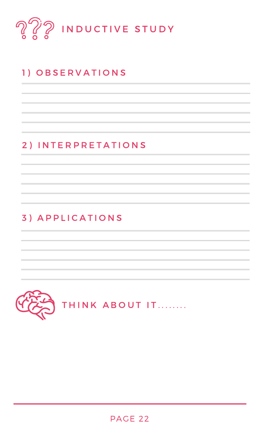



#### PAGE 22

## 1 ) O B S E R V A T I O N S

#### 2 ) I N T E R P R E T A T I O N S

#### 3 ) A P P L I C A T I O N S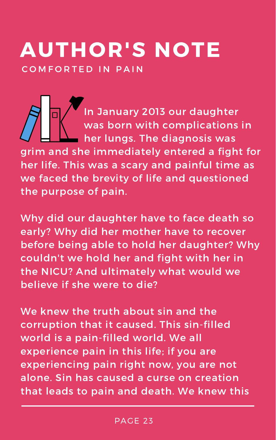# AUTHOR'S NOTE COMFORTED IN PAIN

In January 2013 our daughter was born with complications in her lungs. The diagnosis was grim and she immediately entered a fight for her life. This was a scary and painful time as we faced the brevity of life and questioned the purpose of pain.

Why did our daughter have to face death so early? Why did her mother have to recover before being able to hold her daughter? Why couldn't we hold her and fight with her in the NICU? And ultimately what would we believe if she were to die?

We knew the truth about sin and the corruption that it caused. This sin-filled world is a pain-filled world. We all experience pain in this life; if you are experiencing pain right now, you are not alone. Sin has caused a curse on creation that leads to pain and death. We knew this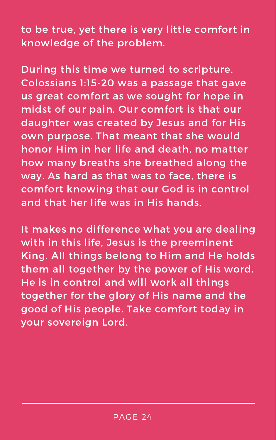to be true, yet there is very little comfort in knowledge of the problem.

During this time we turned to scripture. Colossians 1:15-20 was a passage that gave us great comfort as we sought for hope in midst of our pain. Our comfort is that our daughter was created by Jesus and for His own purpose. That meant that she would honor Him in her life and death, no matter how many breaths she breathed along the way. As hard as that was to face, there is comfort knowing that our God is in control and that her life was in His hands.

It makes no difference what you are dealing

with in this life, Jesus is the preeminent King. All things belong to Him and He holds them all together by the power of His word. He is in control and will work all things together for the glory of His name and the good of His people. Take comfort today in your sovereign Lord.

#### PAGE 24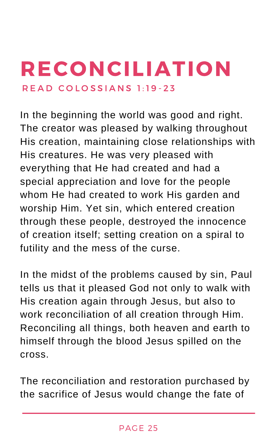In the beginning the world was good and right. The creator was pleased by walking throughout His creation, maintaining close relationships with His creatures. He was very pleased with everything that He had created and had a special appreciation and love for the people whom He had created to work His garden and worship Him. Yet sin, which entered creation through these people, destroyed the innocence of creation itself; setting creation on a spiral to futility and the mess of the curse.

## RECONCILIATION R E A D C O L O S S I A N S 1 : 1 9 - 2 3

In the midst of the problems caused by sin, Paul tells us that it pleased God not only to walk with His creation again through Jesus, but also to work reconciliation of all creation through Him. Reconciling all things, both heaven and earth to himself through the blood Jesus spilled on the cross.

The reconciliation and restoration purchased by the sacrifice of Jesus would change the fate of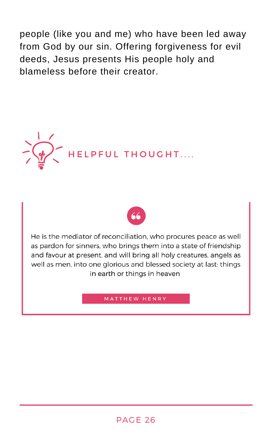people (like you and me) who have been led away from God by our sin. Offering forgiveness for evil deeds, Jesus presents His people holy and blameless before their creator.

#### PAGE 26





He is the mediator of reconciliation, who procures peace as well as pardon for sinners, who brings them into a state of friendship and favour at present, and will bring all holy creatures, angels as well as men, into one glorious and blessed society at last: things in earth or things in heaven

#### **MATTHEW HENRY**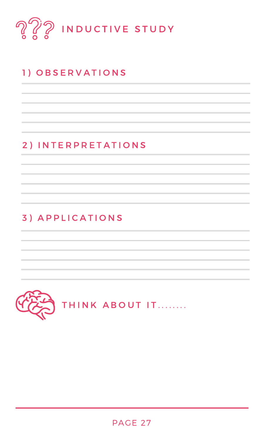

#### AUE Z / PAGE 27



## 1 ) O B S E R V A T I O N S

#### 2 ) I N T E R P R E T A T I O N S

#### 3 ) A P P L I C A T I O N S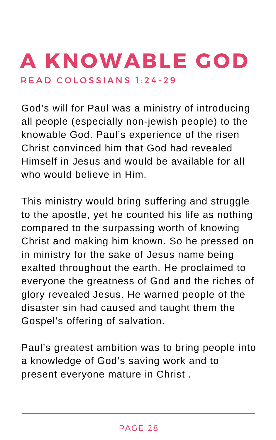God's will for Paul was a ministry of introducing all people (especially non-jewish people) to the knowable God. Paul's experience of the risen Christ convinced him that God had revealed Himself in Jesus and would be available for all who would believe in Him.

# A KNOWABLE GOD R E A D C O L O S S I A N S 1 : 2 4 - 2 9

This ministry would bring suffering and struggle to the apostle, yet he counted his life as nothing compared to the surpassing worth of knowing Christ and making him known. So he pressed on in ministry for the sake of Jesus name being exalted throughout the earth. He proclaimed to everyone the greatness of God and the riches of glory revealed Jesus. He warned people of the disaster sin had caused and taught them the Gospel's offering of salvation.

Paul's greatest ambition was to bring people into a knowledge of God's saving work and to present everyone mature in Christ .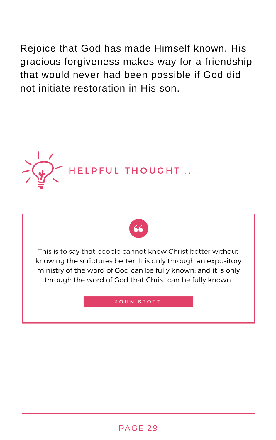







This is to say that people cannot know Christ better without knowing the scriptures better. It is only through an expository ministry of the word of God can be fully known: and it is only through the word of God that Christ can be fully known.

#### **JOHN STOTT**

Rejoice that God has made Himself known. His gracious forgiveness makes way for a friendship that would never had been possible if God did not initiate restoration in His son.